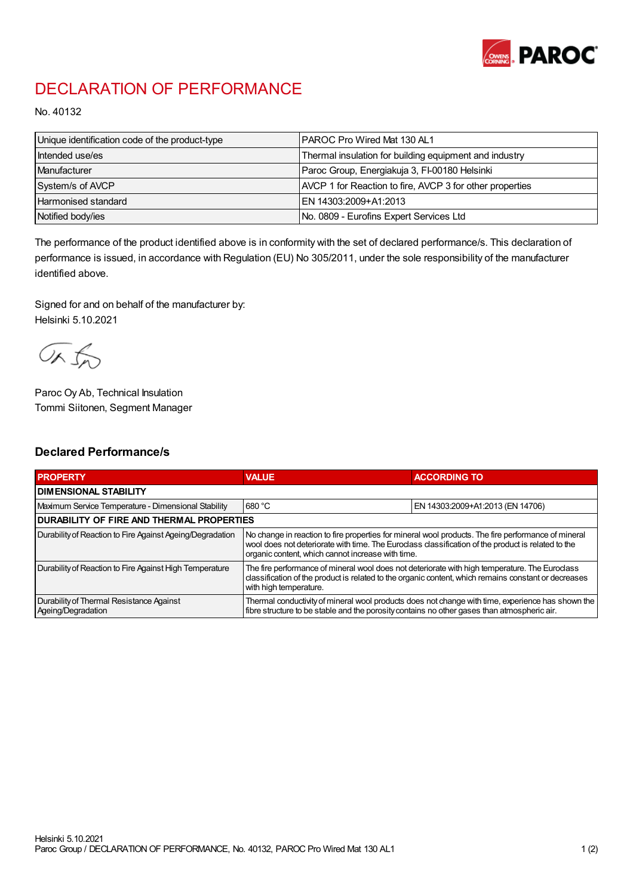

## DECLARATION OF PERFORMANCE

No. 40132

| Unique identification code of the product-type | I PAROC Pro Wired Mat 130 AL1                            |
|------------------------------------------------|----------------------------------------------------------|
| Intended use/es                                | Thermal insulation for building equipment and industry   |
| Manufacturer                                   | Paroc Group, Energiakuja 3, FI-00180 Helsinki            |
| System/s of AVCP                               | AVCP 1 for Reaction to fire, AVCP 3 for other properties |
| <b>Harmonised standard</b>                     | EN 14303:2009+A1:2013                                    |
| Notified body/ies                              | No. 0809 - Eurofins Expert Services Ltd                  |

The performance of the product identified above is in conformity with the set of declared performance/s. This declaration of performance is issued, in accordance with Regulation (EU) No 305/2011, under the sole responsibility of the manufacturer identified above.

Signed for and on behalf of the manufacturer by: Helsinki 5.10.2021

ORJO

Paroc Oy Ab, Technical Insulation Tommi Siitonen, Segment Manager

## Declared Performance/s

| <b>PROPERTY</b>                                                | <b>VALUE</b>                                                                                                                                                                                                                                                   | <b>ACCORDING TO</b>              |  |
|----------------------------------------------------------------|----------------------------------------------------------------------------------------------------------------------------------------------------------------------------------------------------------------------------------------------------------------|----------------------------------|--|
| <b>I DIMENSIONAL STABILITY</b>                                 |                                                                                                                                                                                                                                                                |                                  |  |
| Maximum Service Temperature - Dimensional Stability            | 680 °C                                                                                                                                                                                                                                                         | EN 14303:2009+A1:2013 (EN 14706) |  |
| <b>DURABILITY OF FIRE AND THERMAL PROPERTIES</b>               |                                                                                                                                                                                                                                                                |                                  |  |
| Durability of Reaction to Fire Against Ageing/Degradation      | No change in reaction to fire properties for mineral wool products. The fire performance of mineral<br>wool does not deteriorate with time. The Euroclass classification of the product is related to the<br>organic content, which cannot increase with time. |                                  |  |
| Durability of Reaction to Fire Against High Temperature        | The fire performance of mineral wool does not deteriorate with high temperature. The Euroclass<br>classification of the product is related to the organic content, which remains constant or decreases<br>with high temperature.                               |                                  |  |
| Durability of Thermal Resistance Against<br>Ageing/Degradation | Thermal conductivity of mineral wool products does not change with time, experience has shown the<br>fibre structure to be stable and the porosity contains no other gases than atmospheric air.                                                               |                                  |  |